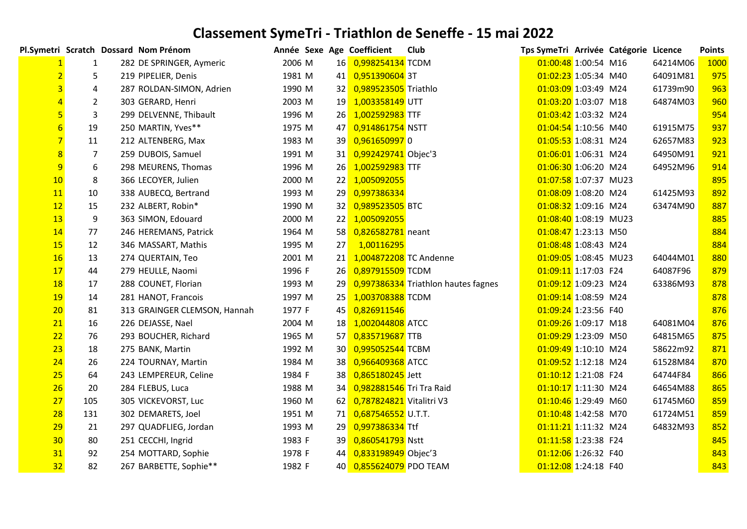|                |                | Pl.Symetri Scratch Dossard Nom Prénom | Année Sexe Age Coefficient |             |                          | Club                                | Tps SymeTri Arrivée Catégorie Licence |  |          | <b>Points</b> |
|----------------|----------------|---------------------------------------|----------------------------|-------------|--------------------------|-------------------------------------|---------------------------------------|--|----------|---------------|
|                | 1              | 282 DE SPRINGER, Aymeric              | 2006 M                     |             | 16 0,998254134 TCDM      |                                     | 01:00:48 1:00:54 M16                  |  | 64214M06 | 1000          |
|                | 5              | 219 PIPELIER, Denis                   | 1981 M                     |             | 41 0,951390604 3T        |                                     | 01:02:23 1:05:34 M40                  |  | 64091M81 | 975           |
|                | 4              | 287 ROLDAN-SIMON, Adrien              | 1990 M                     |             | 32 0,989523505 Triathlo  |                                     | 01:03:09 1:03:49 M24                  |  | 61739m90 | 963           |
|                | $\overline{2}$ | 303 GERARD, Henri                     | 2003 M                     | 19          | 1,003358149 UTT          |                                     | 01:03:20 1:03:07 M18                  |  | 64874M03 | 960           |
|                | 3              | 299 DELVENNE, Thibault                | 1996 M                     | <b>26</b>   | 1,002592983 TTF          |                                     | 01:03:42 1:03:32 M24                  |  |          | 954           |
| $6\overline{}$ | 19             | 250 MARTIN, Yves**                    | 1975 M                     | 47          | 0,914861754 NSTT         |                                     | 01:04:54 1:10:56 M40                  |  | 61915M75 | 937           |
|                | 11             | 212 ALTENBERG, Max                    | 1983 M                     | 39          | 0,9616509970             |                                     | 01:05:53 1:08:31 M24                  |  | 62657M83 | 923           |
| 8              | 7              | 259 DUBOIS, Samuel                    | 1991 M                     |             | 31 0,992429741 Objec'3   |                                     | 01:06:01 1:06:31 M24                  |  | 64950M91 | 921           |
| 9              | 6              | 298 MEURENS, Thomas                   | 1996 M                     | 26          | 1,002592983 TTF          |                                     | 01:06:30 1:06:20 M24                  |  | 64952M96 | 914           |
| 10             | 8              | 366 LECOYER, Julien                   | 2000 M                     |             | 22 1,005092055           |                                     | 01:07:58 1:07:37 MU23                 |  |          | 895           |
| 11             | 10             | 338 AUBECQ, Bertrand                  | 1993 M                     | 29          | 0,997386334              |                                     | 01:08:09 1:08:20 M24                  |  | 61425M93 | 892           |
| 12             | 15             | 232 ALBERT, Robin*                    | 1990 M                     | 32          | 0,989523505 BTC          |                                     | 01:08:32 1:09:16 M24                  |  | 63474M90 | 887           |
| 13             | 9              | 363 SIMON, Edouard                    | 2000 M                     | 22          | 1,005092055              |                                     | 01:08:40 1:08:19 MU23                 |  |          | 885           |
| 14             | 77             | 246 HEREMANS, Patrick                 | 1964 M                     | 58          | 0,826582781 neant        |                                     | 01:08:47 1:23:13 M50                  |  |          | 884           |
| 15             | 12             | 346 MASSART, Mathis                   | 1995 M                     | 27          | 1,00116295               |                                     | 01:08:48 1:08:43 M24                  |  |          | 884           |
| 16             | 13             | 274 QUERTAIN, Teo                     | 2001 M                     | 21          | 1,004872208 TC Andenne   |                                     | 01:09:05 1:08:45 MU23                 |  | 64044M01 | 880           |
| 17             | 44             | 279 HEULLE, Naomi                     | 1996 F                     | 26          | 0,897915509 TCDM         |                                     | 01:09:11 1:17:03 F24                  |  | 64087F96 | 879           |
| <b>18</b>      | 17             | 288 COUNET, Florian                   | 1993 M                     | 29          |                          | 0,997386334 Triathlon hautes fagnes | 01:09:12 1:09:23 M24                  |  | 63386M93 | 878           |
| <b>19</b>      | 14             | 281 HANOT, Francois                   | 1997 M                     | 25          | 1,003708388 TCDM         |                                     | 01:09:14 1:08:59 M24                  |  |          | 878           |
| 20             | 81             | 313 GRAINGER CLEMSON, Hannah          | 1977 F                     | 45          | 0,826911546              |                                     | 01:09:24 1:23:56 F40                  |  |          | 876           |
| 21             | 16             | 226 DEJASSE, Nael                     | 2004 M                     | 18          | 1,002044808 ATCC         |                                     | 01:09:26 1:09:17 M18                  |  | 64081M04 | 876           |
| 22             | 76             | 293 BOUCHER, Richard                  | 1965 M                     |             | 57 0,835719687 TTB       |                                     | 01:09:29 1:23:09 M50                  |  | 64815M65 | 875           |
| 23             | 18             | 275 BANK, Martin                      | 1992 M                     | 30          | 0,995052544 TCBM         |                                     | 01:09:49 1:10:10 M24                  |  | 58622m92 | 871           |
| 24             | 26             | 224 TOURNAY, Martin                   | 1984 M                     | 38          | 0,966409368 ATCC         |                                     | 01:09:52 1:12:18 M24                  |  | 61528M84 | 870           |
| 25             | 64             | 243 LEMPEREUR, Celine                 | 1984 F                     | 38          | 0,865180245 Jett         |                                     | 01:10:12 1:21:08 F24                  |  | 64744F84 | 866           |
| 26             | 20             | 284 FLEBUS, Luca                      | 1988 M                     | 34          | 0,982881546 Tri Tra Raid |                                     | 01:10:17 1:11:30 M24                  |  | 64654M88 | 865           |
| 27             | 105            | 305 VICKEVORST, Luc                   | 1960 M                     | 62          | 0,787824821 Vitalitri V3 |                                     | 01:10:46 1:29:49 M60                  |  | 61745M60 | 859           |
| 28             | 131            | 302 DEMARETS, Joel                    | 1951 M                     |             | 71 0,687546552 U.T.T.    |                                     | 01:10:48 1:42:58 M70                  |  | 61724M51 | 859           |
| 29             | 21             | 297 QUADFLIEG, Jordan                 | 1993 M                     | 29          | 0,997386334 Ttf          |                                     | 01:11:21 1:11:32 M24                  |  | 64832M93 | 852           |
| 30             | 80             | 251 CECCHI, Ingrid                    | 1983 F                     | 39          | 0,860541793 Nstt         |                                     | 01:11:58 1:23:38 F24                  |  |          | 845           |
| 31             | 92             | 254 MOTTARD, Sophie                   | 1978 F                     | 44          | 0,833198949 Objec'3      |                                     | 01:12:06 1:26:32 F40                  |  |          | 843           |
| 32             | 82             | 267 BARBETTE, Sophie**                | 1982 F                     | 40 <b>I</b> | 0,855624079 PDO TEAM     |                                     | 01:12:08 1:24:18 F40                  |  |          | 843           |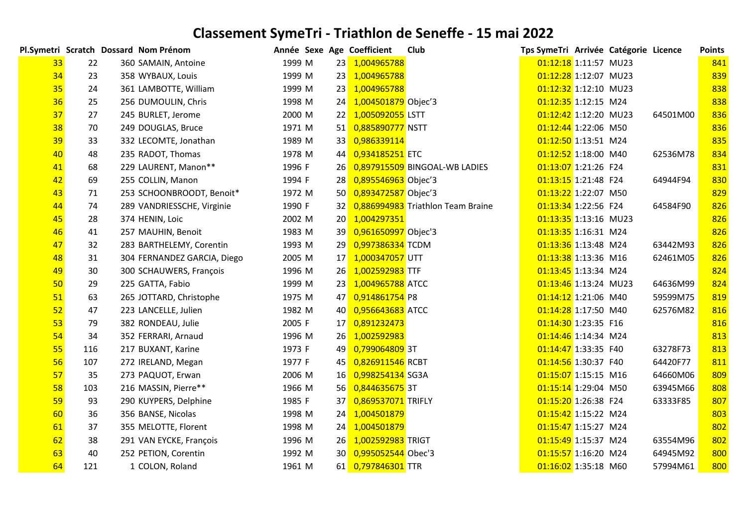|                 |     | Pl.Symetri Scratch Dossard Nom Prénom | Année Sexe Age Coefficient |    |                        | Club                              | Tps SymeTri Arrivée Catégorie Licence |  |          | <b>Points</b> |
|-----------------|-----|---------------------------------------|----------------------------|----|------------------------|-----------------------------------|---------------------------------------|--|----------|---------------|
| 33 <sup>°</sup> | 22  | 360 SAMAIN, Antoine                   | 1999 M                     |    | 23 1,004965788         |                                   | 01:12:18 1:11:57 MU23                 |  |          | 841           |
| 34              | 23  | 358 WYBAUX, Louis                     | 1999 M                     |    | 23 1,004965788         |                                   | 01:12:28 1:12:07 MU23                 |  |          | 839           |
| 35              | 24  | 361 LAMBOTTE, William                 | 1999 M                     |    | 23 1,004965788         |                                   | 01:12:32 1:12:10 MU23                 |  |          | 838           |
| 36              | 25  | 256 DUMOULIN, Chris                   | 1998 M                     |    | 24 1,004501879 Objec'3 |                                   | 01:12:35 1:12:15 M24                  |  |          | 838           |
| 37              | 27  | 245 BURLET, Jerome                    | 2000 M                     |    | 22 1,005092055 LSTT    |                                   | 01:12:42 1:12:20 MU23                 |  | 64501M00 | 836           |
| 38              | 70  | 249 DOUGLAS, Bruce                    | 1971 M                     |    | 51 0,885890777 NSTT    |                                   | 01:12:44 1:22:06 M50                  |  |          | 836           |
| 39              | 33  | 332 LECOMTE, Jonathan                 | 1989 M                     |    | 33 0,986339114         |                                   | 01:12:50 1:13:51 M24                  |  |          | 835           |
| 40              | 48  | 235 RADOT, Thomas                     | 1978 M                     |    | 44 0,934185251 ETC     |                                   | 01:12:52 1:18:00 M40                  |  | 62536M78 | 834           |
| 41              | 68  | 229 LAURENT, Manon**                  | 1996 F                     |    |                        | 26 0,897915509 BINGOAL-WB LADIES  | 01:13:07 1:21:26 F24                  |  |          | 831           |
| 42              | 69  | 255 COLLIN, Manon                     | 1994 F                     |    | 28 0,895546963 Objec'3 |                                   | 01:13:15 1:21:48 F24                  |  | 64944F94 | 830           |
| 43              | 71  | 253 SCHOONBROODT, Benoit*             | 1972 M                     |    | 50 0,893472587 Objec'3 |                                   | 01:13:22 1:22:07 M50                  |  |          | 829           |
| 44              | 74  | 289 VANDRIESSCHE, Virginie            | 1990 F                     | 32 |                        | 0,886994983 Triathlon Team Braine | 01:13:34 1:22:56 F24                  |  | 64584F90 | 826           |
| 45              | 28  | 374 HENIN, Loic                       | 2002 M                     |    | 20 1,004297351         |                                   | 01:13:35 1:13:16 MU23                 |  |          | 826           |
| 46              | 41  | 257 MAUHIN, Benoit                    | 1983 M                     |    | 39 0,961650997 Objec'3 |                                   | 01:13:35 1:16:31 M24                  |  |          | 826           |
| 47              | 32  | 283 BARTHELEMY, Corentin              | 1993 M                     |    | 29 0,997386334 TCDM    |                                   | 01:13:36 1:13:48 M24                  |  | 63442M93 | 826           |
| 48              | 31  | 304 FERNANDEZ GARCIA, Diego           | 2005 M                     |    | 17 1,000347057 UTT     |                                   | 01:13:38 1:13:36 M16                  |  | 62461M05 | 826           |
| 49              | 30  | 300 SCHAUWERS, François               | 1996 M                     |    | 26 1,002592983 TTF     |                                   | 01:13:45 1:13:34 M24                  |  |          | 824           |
| 50              | 29  | 225 GATTA, Fabio                      | 1999 M                     |    | 23 1,004965788 ATCC    |                                   | 01:13:46 1:13:24 MU23                 |  | 64636M99 | 824           |
| 51              | 63  | 265 JOTTARD, Christophe               | 1975 M                     |    | 47 0,914861754 P8      |                                   | 01:14:12 1:21:06 M40                  |  | 59599M75 | 819           |
| 52              | 47  | 223 LANCELLE, Julien                  | 1982 M                     |    | 40 0,956643683 ATCC    |                                   | 01:14:28 1:17:50 M40                  |  | 62576M82 | 816           |
| 53              | 79  | 382 RONDEAU, Julie                    | 2005 F                     |    | 17 0,891232473         |                                   | 01:14:30 1:23:35 F16                  |  |          | 816           |
| 54              | 34  | 352 FERRARI, Arnaud                   | 1996 M                     |    | 26 1,002592983         |                                   | 01:14:46 1:14:34 M24                  |  |          | 813           |
| 55              | 116 | 217 BUXANT, Karine                    | 1973 F                     |    | 49 0,799064809 3T      |                                   | 01:14:47 1:33:35 F40                  |  | 63278F73 | 813           |
| 56              | 107 | 272 IRELAND, Megan                    | 1977 F                     |    | 45 0,826911546 RCBT    |                                   | 01:14:56 1:30:37 F40                  |  | 64420F77 | 811           |
| 57              | 35  | 273 PAQUOT, Erwan                     | 2006 M                     |    | 16 0,998254134 SG3A    |                                   | 01:15:07 1:15:15 M16                  |  | 64660M06 | 809           |
| 58              | 103 | 216 MASSIN, Pierre**                  | 1966 M                     |    | 56 0,844635675 3T      |                                   | 01:15:14 1:29:04 M50                  |  | 63945M66 | 808           |
| 59              | 93  | 290 KUYPERS, Delphine                 | 1985 F                     |    | 37 0,869537071 TRIFLY  |                                   | 01:15:20 1:26:38 F24                  |  | 63333F85 | 807           |
| 60              | 36  | 356 BANSE, Nicolas                    | 1998 M                     |    | 24 1,004501879         |                                   | 01:15:42 1:15:22 M24                  |  |          | 803           |
| 61              | 37  | 355 MELOTTE, Florent                  | 1998 M                     |    | 24 1,004501879         |                                   | 01:15:47 1:15:27 M24                  |  |          | 802           |
| 62              | 38  | 291 VAN EYCKE, François               | 1996 M                     |    | 26 1,002592983 TRIGT   |                                   | 01:15:49 1:15:37 M24                  |  | 63554M96 | 802           |
| 63              | 40  | 252 PETION, Corentin                  | 1992 M                     |    | 30 0,995052544 Obec'3  |                                   | 01:15:57 1:16:20 M24                  |  | 64945M92 | 800           |
| 64              | 121 | 1 COLON, Roland                       | 1961 M                     |    | 61 0,797846301 TTR     |                                   | 01:16:02 1:35:18 M60                  |  | 57994M61 | 800           |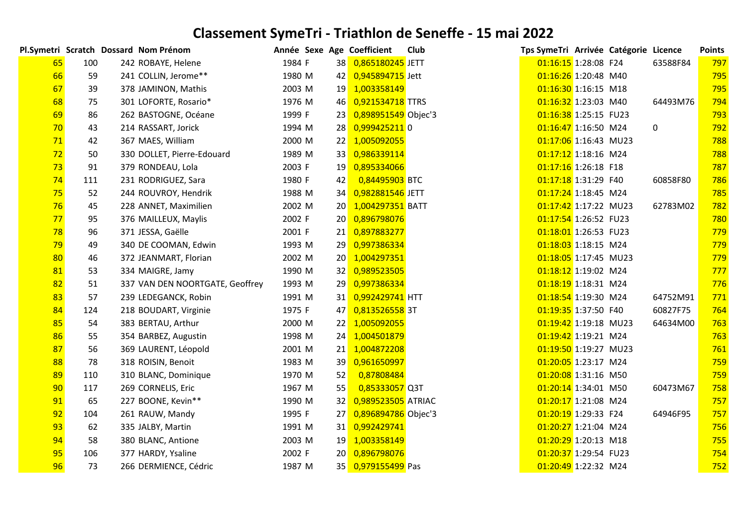|    |     | Pl.Symetri Scratch Dossard Nom Prénom | Année Sexe Age Coefficient |    |                     | Club | Tps SymeTri Arrivée Catégorie Licence |  |          | <b>Points</b> |
|----|-----|---------------------------------------|----------------------------|----|---------------------|------|---------------------------------------|--|----------|---------------|
| 65 | 100 | 242 ROBAYE, Helene                    | 1984 F                     |    | 38 0,865180245 JETT |      | 01:16:15 1:28:08 F24                  |  | 63588F84 | 797           |
| 66 | 59  | 241 COLLIN, Jerome**                  | 1980 M                     |    | 42 0,945894715 Jett |      | 01:16:26 1:20:48 M40                  |  |          | 795           |
| 67 | 39  | 378 JAMINON, Mathis                   | 2003 M                     |    | 19 1,003358149      |      | 01:16:30 1:16:15 M18                  |  |          | 795           |
| 68 | 75  | 301 LOFORTE, Rosario*                 | 1976 M                     | 46 | 0,921534718 TTRS    |      | 01:16:32 1:23:03 M40                  |  | 64493M76 | 794           |
| 69 | 86  | 262 BASTOGNE, Océane                  | 1999 F                     | 23 | 0,898951549 Objec'3 |      | 01:16:38 1:25:15 FU23                 |  |          | 793           |
| 70 | 43  | 214 RASSART, Jorick                   | 1994 M                     | 28 | 0,999425211 0       |      | 01:16:47 1:16:50 M24                  |  | 0        | 792           |
| 71 | 42  | 367 MAES, William                     | 2000 M                     | 22 | 1,005092055         |      | 01:17:06 1:16:43 MU23                 |  |          | 788           |
| 72 | 50  | 330 DOLLET, Pierre-Edouard            | 1989 M                     | 33 | 0,986339114         |      | 01:17:12 1:18:16 M24                  |  |          | 788           |
| 73 | 91  | 379 RONDEAU, Lola                     | 2003 F                     | 19 | 0,895334066         |      | 01:17:16 1:26:18 F18                  |  |          | 787           |
| 74 | 111 | 231 RODRIGUEZ, Sara                   | 1980 F                     | 42 | 0,84495903 BTC      |      | 01:17:18 1:31:29 F40                  |  | 60858F80 | 786           |
| 75 | 52  | 244 ROUVROY, Hendrik                  | 1988 M                     | 34 | 0,982881546 JETT    |      | 01:17:24 1:18:45 M24                  |  |          | 785           |
| 76 | 45  | 228 ANNET, Maximilien                 | 2002 M                     | 20 | 1,004297351 BATT    |      | 01:17:42 1:17:22 MU23                 |  | 62783M02 | 782           |
| 77 | 95  | 376 MAILLEUX, Maylis                  | 2002 F                     | 20 | 0,896798076         |      | 01:17:54 1:26:52 FU23                 |  |          | 780           |
| 78 | 96  | 371 JESSA, Gaëlle                     | 2001 F                     | 21 | 0,897883277         |      | 01:18:01 1:26:53 FU23                 |  |          | 779           |
| 79 | 49  | 340 DE COOMAN, Edwin                  | 1993 M                     | 29 | 0,997386334         |      | 01:18:03 1:18:15 M24                  |  |          | 779           |
| 80 | 46  | 372 JEANMART, Florian                 | 2002 M                     | 20 | 1,004297351         |      | 01:18:05 1:17:45 MU23                 |  |          | 779           |
| 81 | 53  | 334 MAIGRE, Jamy                      | 1990 M                     |    | 32 0,989523505      |      | 01:18:12 1:19:02 M24                  |  |          | 777           |
| 82 | 51  | 337 VAN DEN NOORTGATE, Geoffrey       | 1993 M                     |    | 29 0,997386334      |      | 01:18:19 1:18:31 M24                  |  |          | 776           |
| 83 | 57  | 239 LEDEGANCK, Robin                  | 1991 M                     | 31 | 0,992429741 HTT     |      | 01:18:54 1:19:30 M24                  |  | 64752M91 | 771           |
| 84 | 124 | 218 BOUDART, Virginie                 | 1975 F                     | 47 | 0,813526558 3T      |      | 01:19:35 1:37:50 F40                  |  | 60827F75 | 764           |
| 85 | 54  | 383 BERTAU, Arthur                    | 2000 M                     | 22 | 1,005092055         |      | 01:19:42 1:19:18 MU23                 |  | 64634M00 | 763           |
| 86 | 55  | 354 BARBEZ, Augustin                  | 1998 M                     |    | 24 1,004501879      |      | 01:19:42 1:19:21 M24                  |  |          | 763           |
| 87 | 56  | 369 LAURENT, Léopold                  | 2001 M                     | 21 | 1,004872208         |      | 01:19:50 1:19:27 MU23                 |  |          | 761           |
| 88 | 78  | 318 ROISIN, Benoit                    | 1983 M                     | 39 | 0,961650997         |      | 01:20:05 1:23:17 M24                  |  |          | 759           |
| 89 | 110 | 310 BLANC, Dominique                  | 1970 M                     | 52 | 0,87808484          |      | 01:20:08 1:31:16 M50                  |  |          | 759           |
| 90 | 117 | 269 CORNELIS, Eric                    | 1967 M                     | 55 | 0,85333057 Q3T      |      | 01:20:14 1:34:01 M50                  |  | 60473M67 | 758           |
| 91 | 65  | 227 BOONE, Kevin**                    | 1990 M                     | 32 | 0,989523505 ATRIAC  |      | 01:20:17 1:21:08 M24                  |  |          | 757           |
| 92 | 104 | 261 RAUW, Mandy                       | 1995 F                     | 27 | 0,896894786 Objec'3 |      | 01:20:19 1:29:33 F24                  |  | 64946F95 | 757           |
| 93 | 62  | 335 JALBY, Martin                     | 1991 M                     |    | 31 0,992429741      |      | 01:20:27 1:21:04 M24                  |  |          | 756           |
| 94 | 58  | 380 BLANC, Antione                    | 2003 M                     | 19 | 1,003358149         |      | 01:20:29 1:20:13 M18                  |  |          | 755           |
| 95 | 106 | 377 HARDY, Ysaline                    | 2002 F                     | 20 | 0,896798076         |      | 01:20:37 1:29:54 FU23                 |  |          | 754           |
| 96 | 73  | 266 DERMIENCE, Cédric                 | 1987 M                     |    | 35 0,979155499 Pas  |      | 01:20:49 1:22:32 M24                  |  |          | 752           |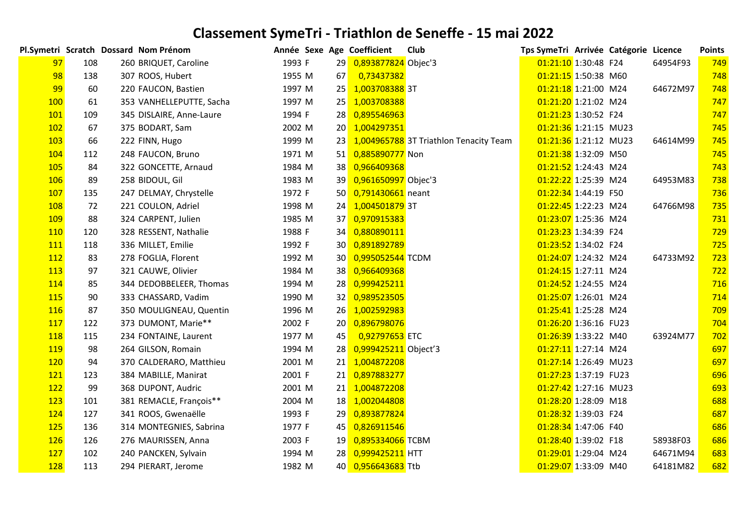|            |     | Pl.Symetri Scratch Dossard Nom Prénom | Année Sexe Age Coefficient |                 |                        | Club                                      | Tps SymeTri Arrivée Catégorie Licence |  |          | <b>Points</b> |
|------------|-----|---------------------------------------|----------------------------|-----------------|------------------------|-------------------------------------------|---------------------------------------|--|----------|---------------|
| 97         | 108 | 260 BRIQUET, Caroline                 | 1993 F                     | 29              | 0,893877824 Objec'3    |                                           | 01:21:10 1:30:48 F24                  |  | 64954F93 | 749           |
| 98         | 138 | 307 ROOS, Hubert                      | 1955 M                     | 67              | 0,73437382             |                                           | 01:21:15 1:50:38 M60                  |  |          | 748           |
| 99         | 60  | 220 FAUCON, Bastien                   | 1997 M                     | 25              | 1,003708388 3T         |                                           | 01:21:18 1:21:00 M24                  |  | 64672M97 | 748           |
| <b>100</b> | 61  | 353 VANHELLEPUTTE, Sacha              | 1997 M                     | 25              | 1,003708388            |                                           | 01:21:20 1:21:02 M24                  |  |          | 747           |
| 101        | 109 | 345 DISLAIRE, Anne-Laure              | 1994 F                     | <b>28</b>       | 0,895546963            |                                           | 01:21:23 1:30:52 F24                  |  |          | 747           |
| 102        | 67  | 375 BODART, Sam                       | 2002 M                     |                 | 20 1,004297351         |                                           | 01:21:36 1:21:15 MU23                 |  |          | 745           |
| 103        | 66  | 222 FINN, Hugo                        | 1999 M                     |                 |                        | 23 1,004965788 3T Triathlon Tenacity Team | 01:21:36 1:21:12 MU23                 |  | 64614M99 | 745           |
| 104        | 112 | 248 FAUCON, Bruno                     | 1971 M                     |                 | 51 0,885890777 Non     |                                           | 01:21:38 1:32:09 M50                  |  |          | 745           |
| 105        | 84  | 322 GONCETTE, Arnaud                  | 1984 M                     |                 | 38 0,966409368         |                                           | 01:21:52 1:24:43 M24                  |  |          | 743           |
| <b>106</b> | 89  | 258 BIDOUL, Gil                       | 1983 M                     |                 | 39 0,961650997 Objec'3 |                                           | 01:22:22 1:25:39 M24                  |  | 64953M83 | 738           |
| 107        | 135 | 247 DELMAY, Chrystelle                | 1972 F                     |                 | 50 0,791430661 neant   |                                           | 01:22:34 1:44:19 F50                  |  |          | 736           |
| 108        | 72  | 221 COULON, Adriel                    | 1998 M                     | 24              | 1,004501879 3T         |                                           | 01:22:45 1:22:23 M24                  |  | 64766M98 | 735           |
| 109        | 88  | 324 CARPENT, Julien                   | 1985 M                     |                 | 37 0,970915383         |                                           | 01:23:07 1:25:36 M24                  |  |          | 731           |
| 110        | 120 | 328 RESSENT, Nathalie                 | 1988 F                     |                 | 34 0,880890111         |                                           | 01:23:23 1:34:39 F24                  |  |          | 729           |
| 111        | 118 | 336 MILLET, Emilie                    | 1992 F                     |                 | 30 0,891892789         |                                           | 01:23:52 1:34:02 F24                  |  |          | 725           |
| 112        | 83  | 278 FOGLIA, Florent                   | 1992 M                     |                 | 30 0,995052544 TCDM    |                                           | 01:24:07 1:24:32 M24                  |  | 64733M92 | 723           |
| 113        | 97  | 321 CAUWE, Olivier                    | 1984 M                     |                 | 38 0,966409368         |                                           | 01:24:15 1:27:11 M24                  |  |          | 722           |
| 114        | 85  | 344 DEDOBBELEER, Thomas               | 1994 M                     | 28              | 0,999425211            |                                           | 01:24:52 1:24:55 M24                  |  |          | 716           |
| 115        | 90  | 333 CHASSARD, Vadim                   | 1990 M                     | 32              | 0,989523505            |                                           | 01:25:07 1:26:01 M24                  |  |          | 714           |
| 116        | 87  | 350 MOULIGNEAU, Quentin               | 1996 M                     | 26              | 1,002592983            |                                           | 01:25:41 1:25:28 M24                  |  |          | 709           |
| 117        | 122 | 373 DUMONT, Marie**                   | 2002 F                     |                 | 20 0,896798076         |                                           | 01:26:20 1:36:16 FU23                 |  |          | 704           |
| <b>118</b> | 115 | 234 FONTAINE, Laurent                 | 1977 M                     | 45              | 0,92797653 ETC         |                                           | 01:26:39 1:33:22 M40                  |  | 63924M77 | 702           |
| <b>119</b> | 98  | 264 GILSON, Romain                    | 1994 M                     | 28              | 0,999425211 Object'3   |                                           | 01:27:11 1:27:14 M24                  |  |          | 697           |
| 120        | 94  | 370 CALDERARO, Matthieu               | 2001 M                     |                 | 21 1,004872208         |                                           | 01:27:14 1:26:49 MU23                 |  |          | 697           |
| <b>121</b> | 123 | 384 MABILLE, Manirat                  | 2001 F                     | 21              | 0,897883277            |                                           | 01:27:23 1:37:19 FU23                 |  |          | 696           |
| 122        | 99  | 368 DUPONT, Audric                    | 2001 M                     | 21 <sup>1</sup> | 1,004872208            |                                           | 01:27:42 1:27:16 MU23                 |  |          | 693           |
| 123        | 101 | 381 REMACLE, François**               | 2004 M                     | 18              | 1,002044808            |                                           | 01:28:20 1:28:09 M18                  |  |          | 688           |
| 124        | 127 | 341 ROOS, Gwenaëlle                   | 1993 F                     |                 | 29 0,893877824         |                                           | 01:28:32 1:39:03 F24                  |  |          | 687           |
| 125        | 136 | 314 MONTEGNIES, Sabrina               | 1977 F                     |                 | 45 0,826911546         |                                           | 01:28:34 1:47:06 F40                  |  |          | 686           |
| <b>126</b> | 126 | 276 MAURISSEN, Anna                   | 2003 F                     | 19              | 0,895334066 TCBM       |                                           | 01:28:40 1:39:02 F18                  |  | 58938F03 | 686           |
| 127        | 102 | 240 PANCKEN, Sylvain                  | 1994 M                     |                 | 28 0,999425211 HTT     |                                           | 01:29:01 1:29:04 M24                  |  | 64671M94 | 683           |
| 128        | 113 | 294 PIERART, Jerome                   | 1982 M                     |                 | 40 0,956643683 Ttb     |                                           | 01:29:07 1:33:09 M40                  |  | 64181M82 | 682           |